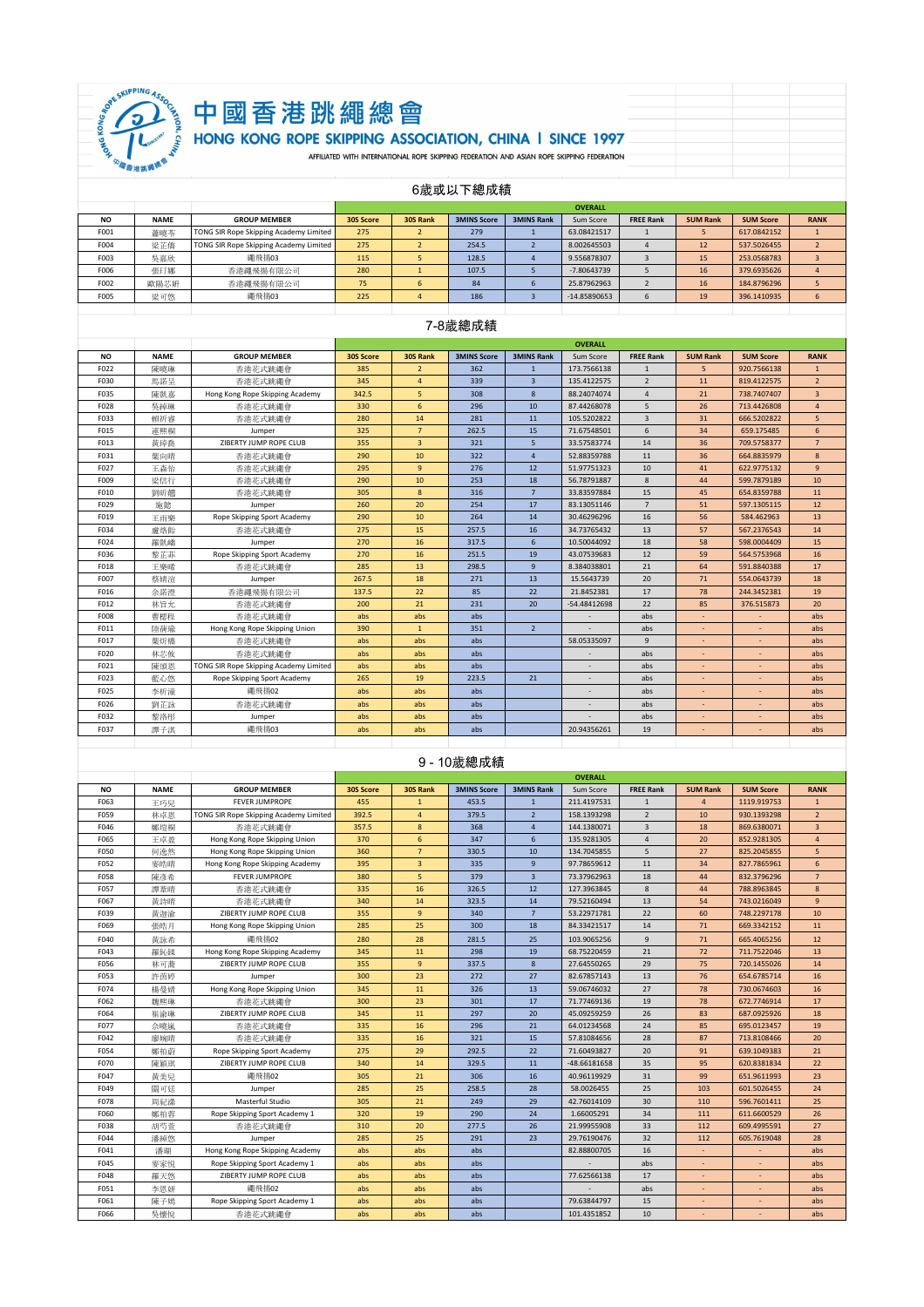

# 中國香港跳繩總會<br>HONG KONG ROPE SKIPPING ASSOCIATION, CHINA I SINCE 1997

6歲或以下總成績

|           |             |                                        |           | <b>OVERALL</b> |                    |                   |              |                  |                 |                  |             |  |  |
|-----------|-------------|----------------------------------------|-----------|----------------|--------------------|-------------------|--------------|------------------|-----------------|------------------|-------------|--|--|
| <b>NO</b> | <b>NAME</b> | <b>GROUP MEMBER</b>                    | 30S Score | 30S Rank       | <b>3MINS Score</b> | <b>3MINS Rank</b> | Sum Score    | <b>FREE Rank</b> | <b>SUM Rank</b> | <b>SUM Score</b> | <b>RANK</b> |  |  |
| F001      | 蕭曉苓         | TONG SIR Rope Skipping Academy Limited | 275       |                | 279                |                   | 63.08421517  |                  |                 | 617.0842152      |             |  |  |
| F004      | 梁芷僑         | TONG SIR Rope Skipping Academy Limited | 275       |                | 254.5              |                   | 8.002645503  |                  | 12              | 537.5026455      |             |  |  |
| F003      | 吳嘉欣         | 纖飛揚03                                  | 115       |                | 128.5              |                   | 9.556878307  |                  | 15              | 253.0568783      |             |  |  |
| F006      | 張玎娜         | 香港繩飛揚有限公司                              | 280       |                | 107.5              |                   | -7.80643739  |                  | 16              | 379.6935626      |             |  |  |
| F002      | 歐陽芯妍        | 香港繩飛揚有限公司                              | 75        | 6              | 84                 |                   | 25.87962963  |                  | 16              | 184.8796296      |             |  |  |
| F005      | 梁可悠         | 繩飛揚03                                  | 225       |                | 186                |                   | -14.85890653 |                  | 19              | 396.1410935      | ь           |  |  |
|           |             |                                        |           |                |                    |                   |              |                  |                 |                  |             |  |  |

#### 7-8歲總成績

|           |             |                                        |           |                 |                    |                   | <b>OVERALL</b> |                  |                 |                  |                |
|-----------|-------------|----------------------------------------|-----------|-----------------|--------------------|-------------------|----------------|------------------|-----------------|------------------|----------------|
| <b>NO</b> | <b>NAME</b> | <b>GROUP MEMBER</b>                    | 30S Score | 30S Rank        | <b>3MINS Score</b> | <b>3MINS Rank</b> | Sum Score      | <b>FREE Rank</b> | <b>SUM Rank</b> | <b>SUM Score</b> | <b>RANK</b>    |
| F022      | 陳曉琳         | 香港花式跳繩會                                | 385       | $\overline{2}$  | 362                | $\mathbf{1}$      | 173.7566138    | $\mathbf{1}$     | 5               | 920.7566138      | $\mathbf{1}$   |
| F030      | 馬諾呈         | 香港花式跳繩會                                | 345       | $\overline{4}$  | 339                | $\overline{3}$    | 135.4122575    | $\overline{2}$   | 11              | 819.4122575      | $\overline{2}$ |
| F035      | 陳凱嘉         | Hong Kong Rope Skipping Academy        | 342.5     | 5               | 308                | 8                 | 88.24074074    | $\overline{4}$   | 21              | 738.7407407      | $\overline{3}$ |
| F028      | 吳綽琳         | 香港花式跳繩會                                | 330       | 6               | 296                | 10                | 87.44268078    | 5                | 26              | 713.4426808      | $\overline{4}$ |
| F033      | 賴祈睿         | 香港花式跳繩會                                | 280       | 14              | 281                | 11                | 105.5202822    | $\overline{3}$   | 31              | 666.5202822      | 5              |
| F015      | 連熙桐         | Jumper                                 | 325       | $7\overline{ }$ | 262.5              | 15                | 71.67548501    | $6 \overline{6}$ | 34              | 659.175485       | 6              |
| F013      | 黃琸喬         | ZIBERTY JUMP ROPE CLUB                 | 355       | $\overline{3}$  | 321                | 5                 | 33.57583774    | 14               | 36              | 709.5758377      | $\overline{7}$ |
| F031      | 葉向晴         | 香港花式跳繩會                                | 290       | 10              | 322                | $\overline{4}$    | 52.88359788    | 11               | 36              | 664,8835979      | 8              |
| F027      | 王森怡         | 香港花式跳纖會                                | 295       | $\overline{9}$  | 276                | 12                | 51.97751323    | 10               | 41              | 622.9775132      | 9              |
| F009      | 梁信行         | 香港花式跳繩會                                | 290       | 10              | 253                | 18                | 56.78791887    | 8                | 44              | 599.7879189      | 10             |
| F010      | 劉昕翹         | 香港花式跳繩會                                | 305       | 8               | 316                | $\overline{7}$    | 33.83597884    | 15               | 45              | 654.8359788      | 11             |
| F029      | 施懿          | Jumper                                 | 260       | 20              | 254                | 17                | 83.13051146    | $\overline{7}$   | 51              | 597.1305115      | 12             |
| F019      | 王雨樂         | Rope Skipping Sport Academy            | 290       | 10              | 264                | 14                | 30.46296296    | 16               | 56              | 584.462963       | 13             |
| F034      | 盧烙飴         | 香港花式跳繩會                                | 275       | 15              | 257.5              | 16                | 34.73765432    | 13               | 57              | 567.2376543      | 14             |
| F024      | 羅凱嬌         | Jumper                                 | 270       | 16              | 317.5              | 6                 | 10.50044092    | 18               | 58              | 598.0004409      | 15             |
| F036      | 黎芷菲         | Rope Skipping Sport Academy            | 270       | 16              | 251.5              | 19                | 43.07539683    | 12               | 59              | 564.5753968      | 16             |
| F018      | 王樂晞         | 香港花式跳繩會                                | 285       | 13              | 298.5              | $\overline{9}$    | 8.384038801    | 21               | 64              | 591.8840388      | 17             |
| F007      | 蔡婧涫         | Jumper                                 | 267.5     | 18              | 271                | 13                | 15.5643739     | 20               | 71              | 554.0643739      | 18             |
| F016      | 余諾澄         | 香满纖飛揚有限公司                              | 137.5     | 22              | 85                 | 22                | 21.8452381     | 17               | 78              | 244.3452381      | 19             |
| F012      | 林旨允         | 香港花式跳纖會                                | 200       | 21              | 231                | 20                | $-54.48412698$ | 22               | 85              | 376.515873       | 20             |
| F008      | 曹楒程         | 香港花式跳繩會                                | abs       | abs             | abs                |                   |                | abs              |                 |                  | abs            |
| F011      | 陸蒨瑜         | Hong Kong Rope Skipping Union          | 390       | $\mathbf{1}$    | 351                | $\overline{2}$    |                | abs              | ÷,              |                  | abs            |
| F017      | 葉炘橋         | 香港花式跳繩會                                | abs       | abs             | abs                |                   | 58.05335097    | $\mathbf{q}$     |                 |                  | abs            |
| F020      | 林芯攸         | 香港花式跳繩會                                | abs       | abs             | abs                |                   |                | abs              |                 |                  | abs            |
| F021      | 陳頌恩         | TONG SIR Rope Skipping Academy Limited | abs       | abs             | abs                |                   |                | abs              |                 |                  | abs            |
| F023      | 藍心悠         | Rope Skipping Sport Academy            | 265       | 19              | 223.5              | 21                |                | abs              |                 |                  | abs            |
| F025      | 李析潼         | 編飛揚02                                  | abs       | abs             | abs                |                   |                | abs              | ٠               | ٠                | abs            |
| F026      | 劉芷詠         | 香港花式跳繩會                                | abs       | abs             | abs                |                   |                | abs              | ۰               |                  | abs            |
| F032      | 黎洛形         | Jumper                                 | abs       | abs             | abs                |                   |                | abs              |                 |                  | abs            |
| F037      | 譚子淇         | 繩飛揚03                                  | abs       | abs             | abs                |                   | 20.94356261    | 19               | ÷               |                  | abs            |
|           |             |                                        |           |                 |                    |                   |                |                  |                 |                  |                |

#### 9 - 10歲總成績

|           |             |                                        |           |                |                    |                   | <b>OVERALL</b> |                  |                 |                  |                |
|-----------|-------------|----------------------------------------|-----------|----------------|--------------------|-------------------|----------------|------------------|-----------------|------------------|----------------|
| <b>NO</b> | <b>NAME</b> | <b>GROUP MEMBER</b>                    | 30S Score | 30S Rank       | <b>3MINS Score</b> | <b>3MINS Rank</b> | Sum Score      | <b>FREE Rank</b> | <b>SUM Rank</b> | <b>SUM Score</b> | <b>RANK</b>    |
| F063      | 王巧兒         | <b>FFVER IUMPROPE</b>                  | 455       | $\mathbf{1}$   | 453.5              | $\mathbf{1}$      | 211.4197531    | $\mathbf{1}$     | $\overline{4}$  | 1119.919753      | $\mathbf{1}$   |
| F059      | 林卓恩         | TONG SIR Rope Skipping Academy Limited | 392.5     | $\overline{4}$ | 379.5              | $\overline{2}$    | 158.1393298    | $\overline{2}$   | 10              | 930.1393298      | $\overline{2}$ |
| F046      | 鄭塏桐         | 香港花式跳繩會                                | 357.5     | 8              | 368                | $\overline{4}$    | 144.1380071    | $\overline{3}$   | 18              | 869.6380071      | $\overline{3}$ |
| F065      | 王卓盈         | Hong Kong Rope Skipping Union          | 370       | 6              | 347                | 6                 | 135.9281305    | $\overline{4}$   | 20              | 852.9281305      | $\overline{4}$ |
| F050      | 何逸然         | Hong Kong Rope Skipping Union          | 360       | $\overline{7}$ | 330.5              | 10                | 134.7045855    | 5                | 27              | 825.2045855      | 5              |
| F052      | 麥皓晴         | Hong Kong Rope Skipping Academy        | 395       | $\overline{3}$ | 335                | $\overline{9}$    | 97.78659612    | 11               | 34              | 827.7865961      | 6              |
| F058      | 陳彥希         | <b>FEVER JUMPROPE</b>                  | 380       | 5              | 379                | $\overline{3}$    | 73.37962963    | 18               | 44              | 832.3796296      | $\overline{7}$ |
| F057      | 譚葦晴         | 香港花式跳繩會                                | 335       | 16             | 326.5              | 12                | 127.3963845    | 8                | 44              | 788.8963845      | 8              |
| F067      | 黃詩晴         | 香港花式跳繩會                                | 340       | 14             | 323.5              | 14                | 79.52160494    | 13               | 54              | 743.0216049      | 9 <sup>°</sup> |
| F039      | 黄迦渝         | ZIBERTY JUMP ROPE CLUB                 | 355       | $\overline{9}$ | 340                | $7\overline{ }$   | 53.22971781    | 22               | 60              | 748.2297178      | 10             |
| F069      | 張皓月         | Hong Kong Rope Skipping Union          | 285       | 25             | 300                | 18                | 84.33421517    | 14               | 71              | 669.3342152      | 11             |
| F040      | 黄詠希         | 編飛揚02                                  | 280       | 28             | 281.5              | 25                | 103.9065256    | $\mathbf{q}$     | 71              | 665.4065256      | 12             |
| F043      | 羅鈊鍒         | Hong Kong Rope Skipping Academy        | 345       | 11             | 298                | 19                | 68.75220459    | 21               | 72              | 711.7522046      | 13             |
| F056      | 林可蕎         | ZIBERTY JUMP ROPE CLUB                 | 355       | $\overline{9}$ | 337.5              | 8                 | 27.64550265    | 29               | 75              | 720.1455026      | 14             |
| F053      | 許茵婷         | Jumper                                 | 300       | 23             | 272                | 27                | 82.67857143    | 13               | 76              | 654.6785714      | 16             |
| F074      | 楊曼婧         | Hong Kong Rope Skipping Union          | 345       | 11             | 326                | 13                | 59.06746032    | 27               | 78              | 730.0674603      | 16             |
| F062      | 魏熙琳         | 香港花式跳繩會                                | 300       | 23             | 301                | 17                | 71.77469136    | 19               | 78              | 672.7746914      | 17             |
| F064      | 崔渝琳         | ZIBERTY JUMP ROPE CLUB                 | 345       | 11             | 297                | 20                | 45.09259259    | 26               | 83              | 687.0925926      | 18             |
| F077      | 佘曉嵐         | 香港花式跳繩會                                | 335       | 16             | 296                | 21                | 64.01234568    | 24               | 85              | 695.0123457      | 19             |
| F042      | 廖婉晴         | 香港花式跳繩會                                | 335       | 16             | 321                | 15                | 57.81084656    | 28               | 87              | 713.8108466      | 20             |
| F054      | 鄭柏蔚         | Rope Skipping Sport Academy            | 275       | 29             | 292.5              | 22                | 71.60493827    | 20               | 91              | 639.1049383      | 21             |
| F070      | 陳穎琪         | ZIBERTY JUMP ROPE CLUB                 | 340       | 14             | 329.5              | 11                | $-48.66181658$ | 35               | 95              | 620.8381834      | 22             |
| F047      | 黄美兒         | 編飛揚02                                  | 305       | 21             | 306                | 16                | 40.96119929    | 31               | 99              | 651.9611993      | 23             |
| F049      | 關可廷         | Jumper                                 | 285       | 25             | 258.5              | 28                | 58.0026455     | 25               | 103             | 601.5026455      | 24             |
| F078      | 周紀漆         | Masterful Studio                       | 305       | 21             | 249                | 29                | 42.76014109    | 30               | 110             | 596.7601411      | 25             |
| F060      | 鄭柏蓉         | Rope Skipping Sport Academy 1          | 320       | 19             | 290                | 24                | 1.66005291     | 34               | 111             | 611.6600529      | 26             |
| F038      | 胡芍萱         | 香港花式跳纖會                                | 310       | 20             | 277.5              | 26                | 21.99955908    | 33               | 112             | 609.4995591      | 27             |
| F044      | 潘綽悠         | Jumper                                 | 285       | 25             | 291                | 23                | 29.76190476    | 32               | 112             | 605.7619048      | 28             |
| F041      | 潘瑚          | Hong Kong Rope Skipping Academy        | abs       | abs            | abs                |                   | 82.88800705    | 16               |                 |                  | abs            |
| F045      | 麥家悦         | Rope Skipping Sport Academy 1          | abs       | abs            | abs                |                   |                | abs              |                 |                  | abs            |
| F048      | 羅天悠         | ZIBERTY JUMP ROPE CLUB                 | abs       | abs            | abs                |                   | 77.62566138    | 17               | ÷               | ٠                | abs            |
| F051      | 李恩妍         | 縄飛揚02                                  | abs       | abs            | abs                |                   |                | abs              |                 |                  | abs            |
| F061      | 陳子嫣         | Rope Skipping Sport Academy 1          | abs       | abs            | abs                |                   | 79.63844797    | 15               |                 |                  | abs            |
| F066      | 吳懷悅         | 香港花式跳繩會                                | abs       | abs            | abs                |                   | 101.4351852    | 10               |                 |                  | abs            |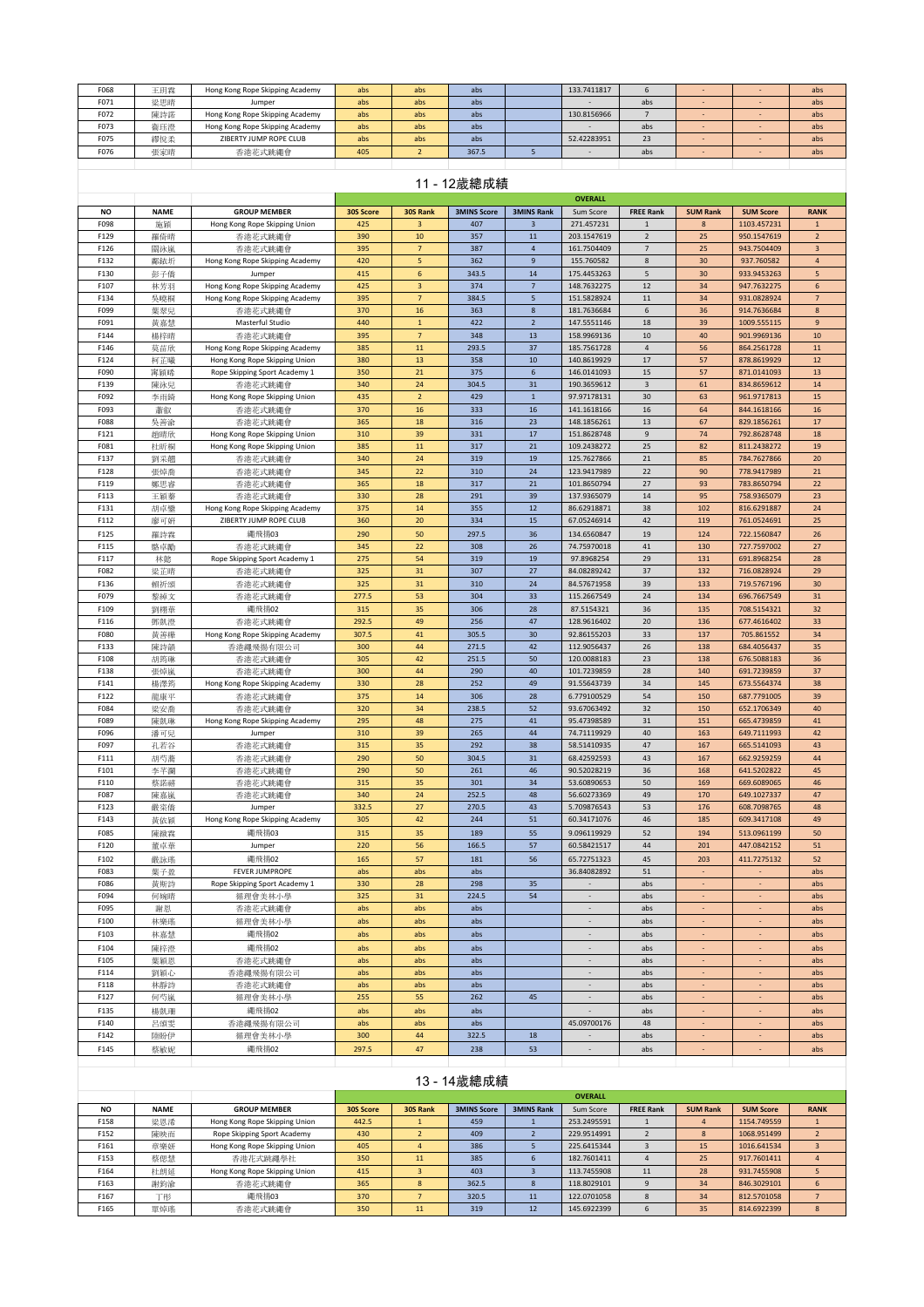| F068         | 王玥霖         | Hong Kong Rope Skipping Academy                           | abs        | abs                   | abs                |                                     | 133.7411817                 | 6                         |                          |                            | abs                 |
|--------------|-------------|-----------------------------------------------------------|------------|-----------------------|--------------------|-------------------------------------|-----------------------------|---------------------------|--------------------------|----------------------------|---------------------|
| F071         | 梁思晴         | Jumper                                                    | abs        | abs                   | abs                |                                     |                             | abs                       |                          |                            | abs                 |
| F072         | 陳詩諾         | Hong Kong Rope Skipping Academy                           | abs        | abs                   | abs                |                                     | 130.8156966                 | $\overline{7}$            | ٠                        | ٠                          | abs                 |
| F073         | 衞珏澄         | Hong Kong Rope Skipping Academy<br>ZIBERTY JUMP ROPE CLUB | abs        | abs                   | abs                |                                     | 52.42283951                 | abs<br>23                 | $\omega$                 |                            | abs                 |
| F075<br>F076 | 繆悅柔<br>張家晴  | 香港花式跳繩會                                                   | abs<br>405 | abs<br>$\overline{2}$ | abs<br>367.5       | $\sqrt{5}$                          | $\sim$                      | abs                       | ٠                        |                            | abs<br>abs          |
|              |             |                                                           |            |                       |                    |                                     |                             |                           |                          |                            |                     |
|              |             |                                                           |            |                       |                    |                                     |                             |                           |                          |                            |                     |
|              |             |                                                           |            |                       | 11 - 12歳總成績        |                                     |                             |                           |                          |                            |                     |
| <b>NO</b>    | <b>NAME</b> | <b>GROUP MEMBER</b>                                       | 30S Score  | 30S Rank              | <b>3MINS Score</b> | <b>3MINS Rank</b>                   | <b>OVERALL</b><br>Sum Score | <b>FREE Rank</b>          | <b>SUM Rank</b>          | <b>SUM Score</b>           | <b>RANK</b>         |
| F098         | 施穎          | Hong Kong Rope Skipping Union                             | 425        | 3                     | 407                | 3                                   | 271.457231                  | $\overline{1}$            | 8                        | 1103.457231                | $\mathbf 1$         |
| F129         | 羅倚晴         | 香港花式跳繩會                                                   | 390        | 10                    | 357                | 11                                  | 203.1547619                 | $\overline{2}$            | 25                       | 950.1547619                | $\overline{2}$      |
| F126         | 關泳嵐         | 香港花式跳繩會                                                   | 395        | $\overline{7}$        | 387                | $\overline{4}$                      | 161.7504409                 | $\overline{7}$            | 25                       | 943.7504409                | $\overline{3}$      |
| F132         | 鄺銥圻         | Hong Kong Rope Skipping Academy                           | 420        | ${\sf 5}$             | 362                | $\overline{9}$                      | 155.760582                  | 8                         | 30                       | 937.760582                 | $\overline{4}$      |
| F130         | 彭子僑         | Jumper                                                    | 415        | 6                     | 343.5              | 14                                  | 175.4453263                 | 5                         | 30                       | 933.9453263                | 5                   |
| F107         | 林芳羽         | Hong Kong Rope Skipping Academy                           | 425        | 3                     | 374                | $\overline{7}$                      | 148.7632275                 | 12                        | 34                       | 947.7632275                | 6                   |
| F134<br>F099 | 吳曉桐         | Hong Kong Rope Skipping Academy                           | 395<br>370 | $\overline{7}$<br>16  | 384.5<br>363       | $\overline{\phantom{a}}$<br>$\bf 8$ | 151.5828924<br>181.7636684  | 11<br>$\,$ 6 $\,$         | 34<br>36                 | 931.0828924<br>914.7636684 | $\overline{7}$<br>8 |
| F091         | 葉翠兒<br>黃嘉慧  | 香港花式跳繩會<br>Masterful Studio                               | 440        | $\mathbf 1$           | 422                | $\overline{2}$                      | 147.5551146                 | 18                        | 39                       | 1009.555115                | $\overline{9}$      |
| F144         | 楊梓晴         | 香港花式跳繩會                                                   | 395        | $\overline{7}$        | 348                | 13                                  | 158.9969136                 | 10                        | 40                       | 901.9969136                | 10                  |
| F146         | 莫苗欣         | Hong Kong Rope Skipping Academy                           | 385        | 11                    | 293.5              | 37                                  | 185.7561728                 | $\sqrt{4}$                | 56                       | 864.2561728                | 11                  |
| F124         | 柯芷曦         | Hong Kong Rope Skipping Union                             | 380        | 13                    | 358                | 10                                  | 140.8619929                 | 17                        | 57                       | 878.8619929                | 12                  |
| F090         | 窜穎晞         | Rope Skipping Sport Academy 1                             | 350        | 21                    | 375                | $\boldsymbol{6}$                    | 146.0141093                 | 15                        | 57                       | 871.0141093                | 13                  |
| F139         | 陳泳兒         | 香港花式跳繩會                                                   | 340        | 24                    | 304.5              | 31                                  | 190.3659612                 | $\ensuremath{\mathsf{3}}$ | 61                       | 834.8659612                | 14                  |
| F092         | 李雨錡         | Hong Kong Rope Skipping Union                             | 435        | $\overline{2}$        | 429                | $\mathbf{1}$                        | 97.97178131                 | 30                        | 63                       | 961.9717813                | 15                  |
| F093         | 蕭叡          | 香港花式跳繩會                                                   | 370        | 16                    | 333                | 16                                  | 141.1618166                 | 16                        | 64                       | 844.1618166                | 16                  |
| F088<br>F121 | 吳善渝<br>趙晴欣  | 香港花式跳繩會<br>Hong Kong Rope Skipping Union                  | 365<br>310 | 18<br>39              | 316<br>331         | 23<br>17                            | 148.1856261<br>151.8628748  | 13<br>$\overline{9}$      | 67<br>74                 | 829.1856261<br>792.8628748 | 17<br>18            |
| F081         | 杜昕桐         | Hong Kong Rope Skipping Union                             | 385        | 11                    | 317                | 21                                  | 109.2438272                 | 25                        | 82                       | 811.2438272                | 19                  |
| F137         | 劉采翹         | 香港花式跳繩會                                                   | 340        | 24                    | 319                | 19                                  | 125.7627866                 | 21                        | 85                       | 784.7627866                | 20                  |
| F128         | 張焯喬         | 香港花式跳繩會                                                   | 345        | 22                    | 310                | 24                                  | 123.9417989                 | 22                        | 90                       | 778.9417989                | 21                  |
| F119         | 鄭思睿         | 香港花式跳繩會                                                   | 365        | 18                    | 317                | 21                                  | 101.8650794                 | 27                        | 93                       | 783.8650794                | 22                  |
| F113         | 王穎秦         | 香港花式跳繩會                                                   | 330        | 28                    | 291                | 39                                  | 137.9365079                 | 14                        | 95                       | 758.9365079                | 23                  |
| F131         | 胡卓鑾         | Hong Kong Rope Skipping Academy                           | 375        | 14                    | 355                | 12                                  | 86.62918871                 | 38                        | 102                      | 816.6291887                | 24                  |
| F112         | 廖可妍         | ZIBERTY JUMP ROPE CLUB                                    | 360        | 20                    | 334                | 15                                  | 67.05246914                 | 42                        | 119                      | 761.0524691                | 25                  |
| F125<br>F115 | 羅詩霖         | 縄飛揚03                                                     | 290        | 50<br>22              | 297.5<br>308       | 36<br>26                            | 134.6560847<br>74.75970018  | 19<br>41                  | 124                      | 722.1560847<br>727.7597002 | 26<br>27            |
| F117         | 駱卓勵<br>林懿   | 香港花式跳繩會<br>Rope Skipping Sport Academy 1                  | 345<br>275 | 54                    | 319                | 19                                  | 97.8968254                  | 29                        | 130<br>131               | 691.8968254                | 28                  |
| F082         | 梁芷晴         | 香港花式跳繩會                                                   | 325        | 31                    | 307                | 27                                  | 84.08289242                 | 37                        | 132                      | 716.0828924                | 29                  |
| F136         | 賴祈頌         | 香港花式跳繩會                                                   | 325        | 31                    | 310                | 24                                  | 84.57671958                 | 39                        | 133                      | 719.5767196                | 30                  |
| F079         | 黎綽文         | 香港花式跳繩會                                                   | 277.5      | 53                    | 304                | 33                                  | 115.2667549                 | 24                        | 134                      | 696.7667549                | 31                  |
| F109         | 劉栩華         | 縄飛揚02                                                     | 315        | 35                    | 306                | 28                                  | 87.5154321                  | 36                        | 135                      | 708.5154321                | 32                  |
| F116         | 鄧凱澄         | 香港花式跳繩會                                                   | 292.5      | 49                    | 256                | 47                                  | 128.9616402                 | 20                        | 136                      | 677.4616402                | 33                  |
| F080         | 黃善樺         | Hong Kong Rope Skipping Academy                           | 307.5      | 41                    | 305.5              | 30                                  | 92.86155203                 | 33                        | 137                      | 705.861552                 | 34                  |
| F133<br>F108 | 陳詩韻         | 香港繩飛揚有限公司                                                 | 300<br>305 | 44<br>42              | 271.5<br>251.5     | 42                                  | 112.9056437<br>120.0088183  | 26<br>23                  | 138<br>138               | 684.4056437<br>676.5088183 | 35                  |
| F138         | 胡筠琳<br>張焯嵐  | 香港花式跳繩會<br>香港花式跳繩會                                        | 300        | 44                    | 290                | 50<br>40                            | 101.7239859                 | 28                        | 140                      | 691.7239859                | 36<br>37            |
| F141         | 楊澤筠         | Hong Kong Rope Skipping Academy                           | 330        | 28                    | 252                | 49                                  | 91.55643739                 | 34                        | 145                      | 673.5564374                | 38                  |
| F122         | 龍康平         | 香港花式跳繩會                                                   | 375        | 14                    | 306                | 28                                  | 6.779100529                 | 54                        | 150                      | 687.7791005                | 39                  |
| F084         | 梁安喬         | 香港花式跳繩會                                                   | 320        | 34                    | 238.5              | 52                                  | 93.67063492                 | 32                        | 150                      | 652.1706349                | 40                  |
| F089         | 陳凱琳         | Hong Kong Rope Skipping Academy                           | 295        | 48                    | 275                | 41                                  | 95.47398589                 | 31                        | 151                      | 665.4739859                | 41                  |
| F096         | 潘可兒         | Jumper                                                    | 310        | 39                    | 265                | 44                                  | 74.71119929                 | 40                        | 163                      | 649.7111993                | 42                  |
| F097         | 孔若谷         | 香港花式跳繩會                                                   | 315        | 35                    | 292                | 38                                  | 58.51410935                 | 47                        | 167                      | 665.5141093                | 43                  |
| F111<br>F101 | 胡芍蕎         | 香港花式跳繩會                                                   | 290<br>290 | 50<br>50              | 304.5<br>261       | 31<br>46                            | 68.42592593<br>90.52028219  | 43<br>36                  | 167<br>168               | 662.9259259<br>641.5202822 | 44<br>45            |
| F110         | 李芊瀾<br>蔡諾禧  | 香港花式跳繩會<br>香港花式跳繩會                                        | 315        | 35                    | 301                | 34                                  | 53.60890653                 | 50                        | 169                      | 669.6089065                | 46                  |
| F087         | 陳嘉嵐         | 香港花式跳繩會                                                   | 340        | 24                    | 252.5              | 48                                  | 56.60273369                 | 49                        | 170                      | 649.1027337                | 47                  |
| F123         | 嚴寀僑         | Jumper                                                    | 332.5      | 27                    | 270.5              | 43                                  | 5.709876543                 | 53                        | 176                      | 608.7098765                | 48                  |
| F143         | 黃依穎         | Hong Kong Rope Skipping Academy                           | 305        | 42                    | 244                | 51                                  | 60.34171076                 | 46                        | 185                      | 609.3417108                | 49                  |
| F085         | 陳緻霖         | 縄飛揚03                                                     | 315        | 35                    | 189                | 55                                  | 9.096119929                 | 52                        | 194                      | 513.0961199                | 50                  |
| F120         | 董卓華         | Jumper                                                    | 220        | 56                    | 166.5              | 57                                  | 60.58421517                 | 44                        | 201                      | 447.0842152                | 51                  |
| F102         | 嚴詠瑤         | 繩飛揚02                                                     | 165        | 57                    | 181                | 56                                  | 65.72751323                 | 45                        | 203                      | 411.7275132                | 52                  |
| F083         | 葉子盈         | <b>FEVER JUMPROPE</b>                                     | abs        | abs                   | abs                |                                     | 36.84082892                 | 51                        |                          |                            | abs                 |
| F086         | 黄斯詩         | Rope Skipping Sport Academy 1                             | 330        | 28                    | 298                | 35                                  | $\sim$                      | abs                       | ä,                       | $\sim$                     | abs                 |
| F094<br>F095 | 何婉晴         | 循理會美林小學                                                   | 325<br>abs | 31<br>abs             | 224.5<br>abs       | 54                                  | ÷.                          | abs<br>abs                | ٠                        | ٠                          | abs<br>abs          |
| F100         | 謝恩<br>林樂瑤   | 香港花式跳繩會<br>循理會美林小學                                        | abs        | abs                   | abs                |                                     | $\overline{\phantom{a}}$    | abs                       | $\overline{\phantom{a}}$ | $\sim$                     | abs                 |
| F103         | 林嘉慧         | 繩飛揚02                                                     | abs        | abs                   | abs                |                                     | $\overline{\phantom{a}}$    | abs                       | $\sim$                   | $\overline{\phantom{a}}$   | abs                 |
| F104         | 陳梓澄         | 繩飛揚02                                                     | abs        | abs                   | abs                |                                     | $\sim$                      | abs                       |                          | ٠                          | abs                 |
| F105         | 葉穎恩         | 香港花式跳繩會                                                   | abs        | abs                   | abs                |                                     |                             | abs                       |                          |                            | abs                 |
| F114         | 劉穎心         | 香港繩飛揚有限公司                                                 | abs        | abs                   | abs                |                                     | $\overline{\phantom{a}}$    | abs                       | ÷.                       | $\omega$                   | abs                 |
| F118         | 林靜詩         | 香港花式跳繩會                                                   | abs        | abs                   | abs                |                                     | $\overline{\phantom{a}}$    | abs                       | $\overline{\phantom{a}}$ | $\overline{\phantom{a}}$   | abs                 |
| F127         | 何芍嵐         | 循理會美林小學                                                   | 255        | 55                    | 262                | 45                                  |                             | abs                       |                          |                            | abs                 |
| F135         | 楊凱珊         | 繩飛揚02                                                     | abs        | abs                   | abs                |                                     | ÷.                          | abs                       | ÷                        | $\sim$                     | abs                 |
| F140         | 呂頌雯         | 香港繩飛揚有限公司                                                 | abs        | abs                   | abs                |                                     | 45.09700176                 | 48                        | $\overline{\phantom{a}}$ | $\overline{\phantom{a}}$   | abs                 |
| F142         | 陸盼伊         | 循理會美林小學                                                   | 300        | 44                    | 322.5              | 18                                  | $\overline{\phantom{a}}$    | abs                       | $\overline{\phantom{a}}$ | $\overline{\phantom{a}}$   | abs                 |
| F145         | 蔡敏妮         | 縄飛揚02                                                     | 297.5      | 47                    | 238                | 53                                  |                             | abs                       |                          |                            | abs                 |
|              |             |                                                           |            |                       |                    |                                     |                             |                           |                          |                            |                     |
|              |             |                                                           |            |                       | 13 - 14歲總成績        |                                     |                             |                           |                          |                            |                     |

|           |             |                               |           |          |                    |                   | <b>OVERALL</b> |                  |                 |                  |                 |
|-----------|-------------|-------------------------------|-----------|----------|--------------------|-------------------|----------------|------------------|-----------------|------------------|-----------------|
| <b>NO</b> | <b>NAME</b> | <b>GROUP MEMBER</b>           | 30S Score | 30S Rank | <b>3MINS Score</b> | <b>3MINS Rank</b> | Sum Score      | <b>FREE Rank</b> | <b>SUM Rank</b> | <b>SUM Score</b> | <b>RANK</b>     |
| F158      | 梁恩潘         | Hong Kong Rope Skipping Union | 442.5     |          | 459                |                   | 253.2495591    |                  |                 | 1154.749559      |                 |
| F152      | 陳映而         | Rope Skipping Sport Academy   | 430       |          | 409                |                   | 229.9514991    |                  |                 | 1068.951499      |                 |
| F161      | 章樂妍         | Hong Kong Rope Skipping Union | 405       |          | 386                |                   | 225.6415344    |                  | 15              | 1016.641534      |                 |
| F153      | 蔡偲慧         | 香港花式跳繩學社                      | 350       | 11       | 385                |                   | 182.7601411    |                  | 25              | 917.7601411      |                 |
| F164      | 杜朗延         | Hong Kong Rope Skipping Union | 415       |          | 403                |                   | 113.7455908    | 11               | 28              | 931.7455908      |                 |
| F163      | 謝鈞渝         | 香港花式跳繩會                       | 365       | 8        | 362.5              |                   | 118.8029101    |                  | 34              | 846.3029101      | $6\overline{6}$ |
| F167      | 工形          | 繩飛揚03                         | 370       |          | 320.5              | 11                | 122.0701058    |                  | 34              | 812.5701058      |                 |
| F165      | 單焯瑤         | 香港花式跳繩會                       | 350       |          | 319                | 12                | 145.6922399    |                  | 35              | 814.6922399      | 8               |